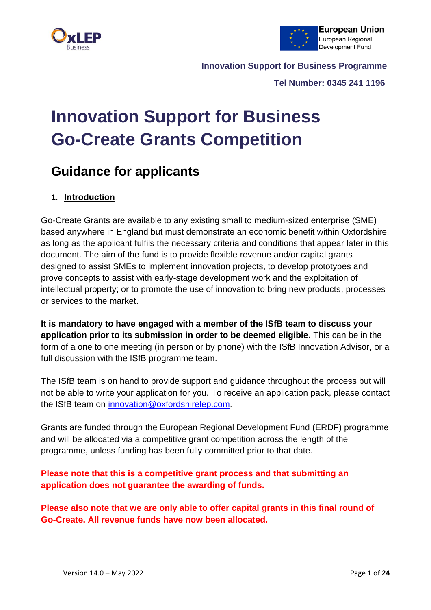



 **Tel Number: 0345 241 1196**

# **Innovation Support for Business Go-Create Grants Competition**

# **Guidance for applicants**

# **1. Introduction**

Go-Create Grants are available to any existing small to medium-sized enterprise (SME) based anywhere in England but must demonstrate an economic benefit within Oxfordshire, as long as the applicant fulfils the necessary criteria and conditions that appear later in this document. The aim of the fund is to provide flexible revenue and/or capital grants designed to assist SMEs to implement innovation projects, to develop prototypes and prove concepts to assist with early-stage development work and the exploitation of intellectual property; or to promote the use of innovation to bring new products, processes or services to the market.

**It is mandatory to have engaged with a member of the ISfB team to discuss your application prior to its submission in order to be deemed eligible.** This can be in the form of a one to one meeting (in person or by phone) with the ISfB Innovation Advisor, or a full discussion with the ISfB programme team.

The ISfB team is on hand to provide support and guidance throughout the process but will not be able to write your application for you. To receive an application pack, please contact the ISfB team on [innovation@oxfordshirelep.com](mailto:innovation@oxfordshirelep.com).

Grants are funded through the European Regional Development Fund (ERDF) programme and will be allocated via a competitive grant competition across the length of the programme, unless funding has been fully committed prior to that date.

**Please note that this is a competitive grant process and that submitting an application does not guarantee the awarding of funds.**

**Please also note that we are only able to offer capital grants in this final round of Go-Create. All revenue funds have now been allocated.**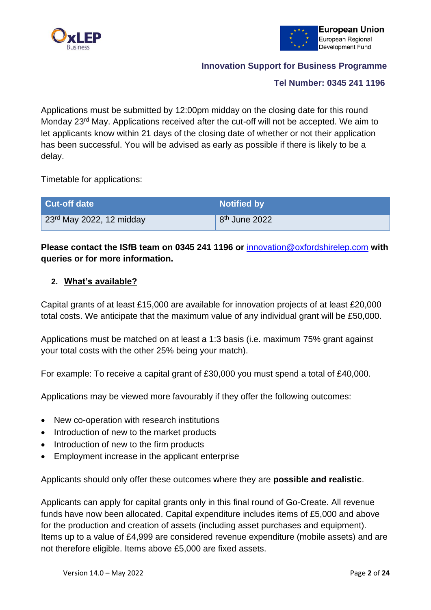



#### **Tel Number: 0345 241 1196**

Applications must be submitted by 12:00pm midday on the closing date for this round Monday 23rd May. Applications received after the cut-off will not be accepted. We aim to let applicants know within 21 days of the closing date of whether or not their application has been successful. You will be advised as early as possible if there is likely to be a delay.

Timetable for applications:

| <b>Cut-off date</b>                          | <b>Notified by</b>        |
|----------------------------------------------|---------------------------|
| $\vert$ 23 <sup>rd</sup> May 2022, 12 midday | 8 <sup>th</sup> June 2022 |

# **Please contact the ISfB team on 0345 241 1196 or** [innovation@oxfordshirelep.com](mailto:innovation@oxfordshirelep.com) **with queries or for more information.**

#### **2. What's available?**

Capital grants of at least £15,000 are available for innovation projects of at least £20,000 total costs. We anticipate that the maximum value of any individual grant will be £50,000.

Applications must be matched on at least a 1:3 basis (i.e. maximum 75% grant against your total costs with the other 25% being your match).

For example: To receive a capital grant of £30,000 you must spend a total of £40,000.

Applications may be viewed more favourably if they offer the following outcomes:

- New co-operation with research institutions
- Introduction of new to the market products
- Introduction of new to the firm products
- Employment increase in the applicant enterprise

Applicants should only offer these outcomes where they are **possible and realistic**.

Applicants can apply for capital grants only in this final round of Go-Create. All revenue funds have now been allocated. Capital expenditure includes items of £5,000 and above for the production and creation of assets (including asset purchases and equipment). Items up to a value of £4,999 are considered revenue expenditure (mobile assets) and are not therefore eligible. Items above £5,000 are fixed assets.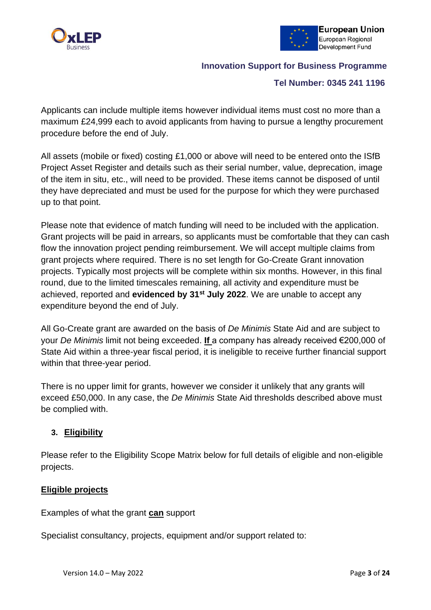



#### **Tel Number: 0345 241 1196**

Applicants can include multiple items however individual items must cost no more than a maximum £24,999 each to avoid applicants from having to pursue a lengthy procurement procedure before the end of July.

All assets (mobile or fixed) costing £1,000 or above will need to be entered onto the ISfB Project Asset Register and details such as their serial number, value, deprecation, image of the item in situ, etc., will need to be provided. These items cannot be disposed of until they have depreciated and must be used for the purpose for which they were purchased up to that point.

Please note that evidence of match funding will need to be included with the application. Grant projects will be paid in arrears, so applicants must be comfortable that they can cash flow the innovation project pending reimbursement. We will accept multiple claims from grant projects where required. There is no set length for Go-Create Grant innovation projects. Typically most projects will be complete within six months. However, in this final round, due to the limited timescales remaining, all activity and expenditure must be achieved, reported and **evidenced by 31st July 2022**. We are unable to accept any expenditure beyond the end of July.

All Go-Create grant are awarded on the basis of *De Minimis* State Aid and are subject to your *De Minimis* limit not being exceeded. **If** a company has already received €200,000 of State Aid within a three-year fiscal period, it is ineligible to receive further financial support within that three-year period.

There is no upper limit for grants, however we consider it unlikely that any grants will exceed £50,000. In any case, the *De Minimis* State Aid thresholds described above must be complied with.

# **3. Eligibility**

Please refer to the Eligibility Scope Matrix below for full details of eligible and non-eligible projects.

#### **Eligible projects**

Examples of what the grant **can** support

Specialist consultancy, projects, equipment and/or support related to: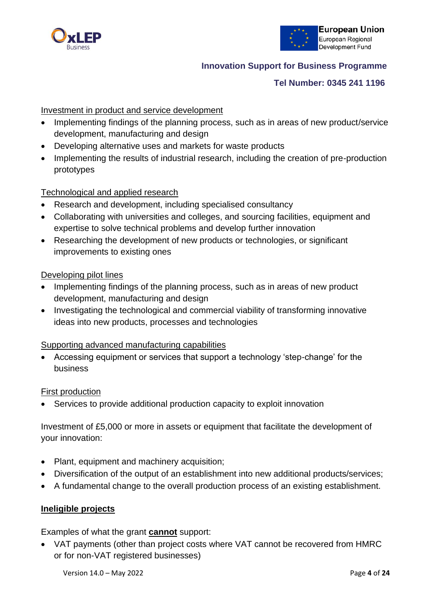



#### **Tel Number: 0345 241 1196**

# Investment in product and service development

- Implementing findings of the planning process, such as in areas of new product/service development, manufacturing and design
- Developing alternative uses and markets for waste products
- Implementing the results of industrial research, including the creation of pre-production prototypes

#### Technological and applied research

- Research and development, including specialised consultancy
- Collaborating with universities and colleges, and sourcing facilities, equipment and expertise to solve technical problems and develop further innovation
- Researching the development of new products or technologies, or significant improvements to existing ones

#### Developing pilot lines

- Implementing findings of the planning process, such as in areas of new product development, manufacturing and design
- Investigating the technological and commercial viability of transforming innovative ideas into new products, processes and technologies

#### Supporting advanced manufacturing capabilities

• Accessing equipment or services that support a technology 'step-change' for the business

#### First production

Services to provide additional production capacity to exploit innovation

Investment of £5,000 or more in assets or equipment that facilitate the development of your innovation:

- Plant, equipment and machinery acquisition;
- Diversification of the output of an establishment into new additional products/services;
- A fundamental change to the overall production process of an existing establishment.

#### **Ineligible projects**

Examples of what the grant **cannot** support:

• VAT payments (other than project costs where VAT cannot be recovered from HMRC or for non-VAT registered businesses)

Version 14.0 – May 2022 Page **4** of **24**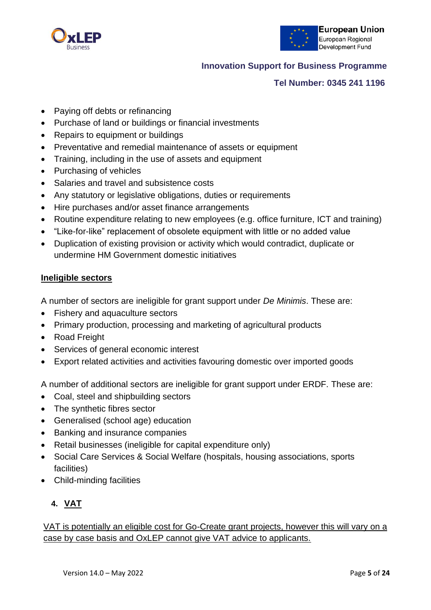



# **Tel Number: 0345 241 1196**

- Paying off debts or refinancing
- Purchase of land or buildings or financial investments
- Repairs to equipment or buildings
- Preventative and remedial maintenance of assets or equipment
- Training, including in the use of assets and equipment
- Purchasing of vehicles
- Salaries and travel and subsistence costs
- Any statutory or legislative obligations, duties or requirements
- Hire purchases and/or asset finance arrangements
- Routine expenditure relating to new employees (e.g. office furniture, ICT and training)
- "Like-for-like" replacement of obsolete equipment with little or no added value
- Duplication of existing provision or activity which would contradict, duplicate or undermine HM Government domestic initiatives

#### **Ineligible sectors**

A number of sectors are ineligible for grant support under *De Minimis*. These are:

- Fishery and aquaculture sectors
- Primary production, processing and marketing of agricultural products
- Road Freight
- Services of general economic interest
- Export related activities and activities favouring domestic over imported goods

A number of additional sectors are ineligible for grant support under ERDF. These are:

- Coal, steel and shipbuilding sectors
- The synthetic fibres sector
- Generalised (school age) education
- Banking and insurance companies
- Retail businesses (ineligible for capital expenditure only)
- Social Care Services & Social Welfare (hospitals, housing associations, sports facilities)
- Child-minding facilities

# **4. VAT**

VAT is potentially an eligible cost for Go-Create grant projects, however this will vary on a case by case basis and OxLEP cannot give VAT advice to applicants.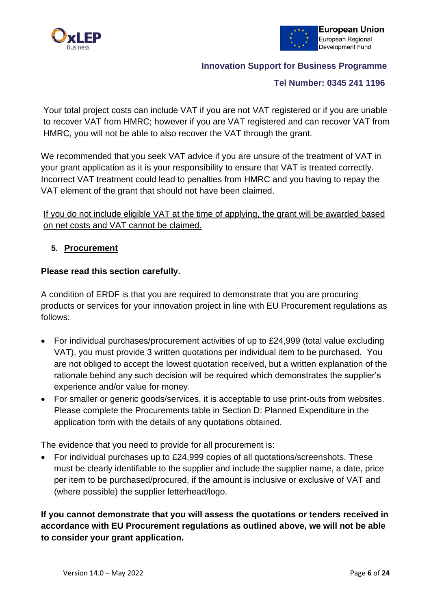



# **Tel Number: 0345 241 1196**

Your total project costs can include VAT if you are not VAT registered or if you are unable to recover VAT from HMRC; however if you are VAT registered and can recover VAT from HMRC, you will not be able to also recover the VAT through the grant.

We recommended that you seek VAT advice if you are unsure of the treatment of VAT in your grant application as it is your responsibility to ensure that VAT is treated correctly. Incorrect VAT treatment could lead to penalties from HMRC and you having to repay the VAT element of the grant that should not have been claimed.

If you do not include eligible VAT at the time of applying, the grant will be awarded based on net costs and VAT cannot be claimed.

# **5. Procurement**

# **Please read this section carefully.**

A condition of ERDF is that you are required to demonstrate that you are procuring products or services for your innovation project in line with EU Procurement regulations as follows:

- For individual purchases/procurement activities of up to £24,999 (total value excluding VAT), you must provide 3 written quotations per individual item to be purchased. You are not obliged to accept the lowest quotation received, but a written explanation of the rationale behind any such decision will be required which demonstrates the supplier's experience and/or value for money.
- For smaller or generic goods/services, it is acceptable to use print-outs from websites. Please complete the Procurements table in Section D: Planned Expenditure in the application form with the details of any quotations obtained.

The evidence that you need to provide for all procurement is:

• For individual purchases up to £24,999 copies of all quotations/screenshots. These must be clearly identifiable to the supplier and include the supplier name, a date, price per item to be purchased/procured, if the amount is inclusive or exclusive of VAT and (where possible) the supplier letterhead/logo.

**If you cannot demonstrate that you will assess the quotations or tenders received in accordance with EU Procurement regulations as outlined above, we will not be able to consider your grant application.**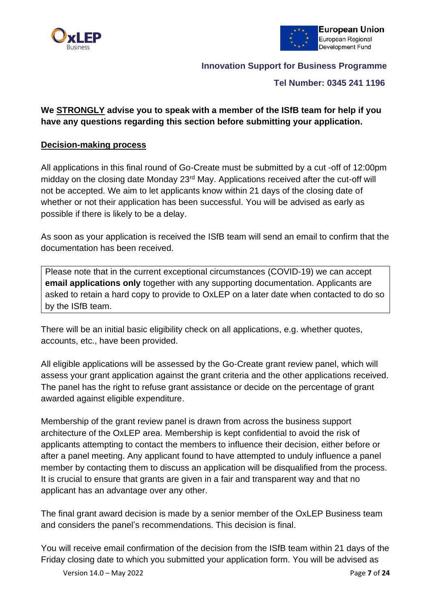



#### **Tel Number: 0345 241 1196**

# **We STRONGLY advise you to speak with a member of the ISfB team for help if you have any questions regarding this section before submitting your application.**

#### **Decision-making process**

All applications in this final round of Go-Create must be submitted by a cut -off of 12:00pm midday on the closing date Monday 23<sup>rd</sup> May. Applications received after the cut-off will not be accepted. We aim to let applicants know within 21 days of the closing date of whether or not their application has been successful. You will be advised as early as possible if there is likely to be a delay.

As soon as your application is received the ISfB team will send an email to confirm that the documentation has been received.

Please note that in the current exceptional circumstances (COVID-19) we can accept **email applications only** together with any supporting documentation. Applicants are asked to retain a hard copy to provide to OxLEP on a later date when contacted to do so by the ISfB team.

There will be an initial basic eligibility check on all applications, e.g. whether quotes, accounts, etc., have been provided.

All eligible applications will be assessed by the Go-Create grant review panel, which will assess your grant application against the grant criteria and the other applications received. The panel has the right to refuse grant assistance or decide on the percentage of grant awarded against eligible expenditure.

Membership of the grant review panel is drawn from across the business support architecture of the OxLEP area. Membership is kept confidential to avoid the risk of applicants attempting to contact the members to influence their decision, either before or after a panel meeting. Any applicant found to have attempted to unduly influence a panel member by contacting them to discuss an application will be disqualified from the process. It is crucial to ensure that grants are given in a fair and transparent way and that no applicant has an advantage over any other.

The final grant award decision is made by a senior member of the OxLEP Business team and considers the panel's recommendations. This decision is final.

You will receive email confirmation of the decision from the ISfB team within 21 days of the Friday closing date to which you submitted your application form. You will be advised as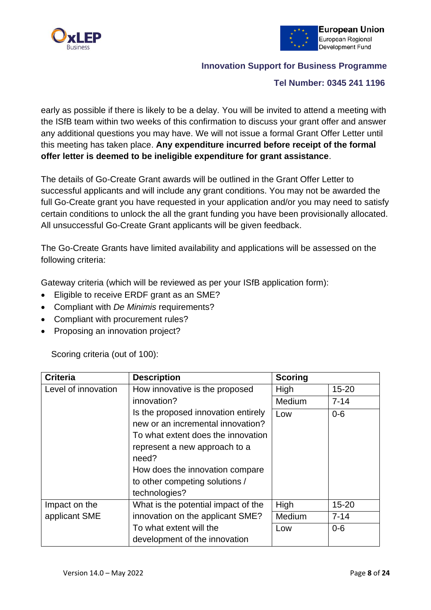



#### **Tel Number: 0345 241 1196**

early as possible if there is likely to be a delay. You will be invited to attend a meeting with the ISfB team within two weeks of this confirmation to discuss your grant offer and answer any additional questions you may have. We will not issue a formal Grant Offer Letter until this meeting has taken place. **Any expenditure incurred before receipt of the formal offer letter is deemed to be ineligible expenditure for grant assistance**.

The details of Go-Create Grant awards will be outlined in the Grant Offer Letter to successful applicants and will include any grant conditions. You may not be awarded the full Go-Create grant you have requested in your application and/or you may need to satisfy certain conditions to unlock the all the grant funding you have been provisionally allocated. All unsuccessful Go-Create Grant applicants will be given feedback.

The Go-Create Grants have limited availability and applications will be assessed on the following criteria:

Gateway criteria (which will be reviewed as per your ISfB application form):

- Eligible to receive ERDF grant as an SME?
- Compliant with *De Minimis* requirements?
- Compliant with procurement rules?
- Proposing an innovation project?

Scoring criteria (out of 100):

| <b>Criteria</b>     | <b>Description</b>                  | <b>Scoring</b> |           |
|---------------------|-------------------------------------|----------------|-----------|
| Level of innovation | How innovative is the proposed      | High           | $15 - 20$ |
|                     | innovation?                         | Medium         | $7 - 14$  |
|                     | Is the proposed innovation entirely | Low            | $0-6$     |
|                     | new or an incremental innovation?   |                |           |
|                     | To what extent does the innovation  |                |           |
|                     | represent a new approach to a       |                |           |
|                     | need?                               |                |           |
|                     | How does the innovation compare     |                |           |
|                     | to other competing solutions /      |                |           |
|                     | technologies?                       |                |           |
| Impact on the       | What is the potential impact of the | High           | $15 - 20$ |
| applicant SME       | innovation on the applicant SME?    | Medium         | $7 - 14$  |
|                     | To what extent will the             | Low            | $0-6$     |
|                     | development of the innovation       |                |           |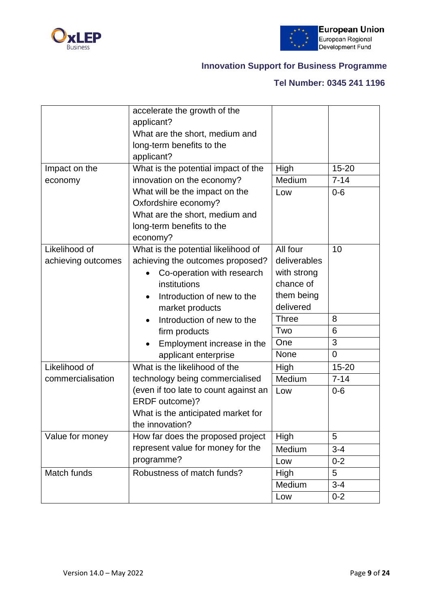



# **Tel Number: 0345 241 1196**

|                    | accelerate the growth of the            |              |           |
|--------------------|-----------------------------------------|--------------|-----------|
|                    | applicant?                              |              |           |
|                    | What are the short, medium and          |              |           |
|                    | long-term benefits to the               |              |           |
|                    | applicant?                              |              |           |
| Impact on the      | What is the potential impact of the     | High         | $15 - 20$ |
| economy            | innovation on the economy?              | Medium       | $7 - 14$  |
|                    | What will be the impact on the          | Low          | $0 - 6$   |
|                    | Oxfordshire economy?                    |              |           |
|                    | What are the short, medium and          |              |           |
|                    | long-term benefits to the               |              |           |
|                    | economy?                                |              |           |
| Likelihood of      | What is the potential likelihood of     | All four     | 10        |
| achieving outcomes | achieving the outcomes proposed?        | deliverables |           |
|                    | Co-operation with research              | with strong  |           |
|                    | institutions                            | chance of    |           |
|                    | Introduction of new to the<br>$\bullet$ | them being   |           |
|                    | market products                         | delivered    |           |
|                    | Introduction of new to the              | <b>Three</b> | 8         |
|                    | firm products                           | Two          | 6         |
|                    | Employment increase in the              | One          | 3         |
|                    | applicant enterprise                    | <b>None</b>  | 0         |
| Likelihood of      | What is the likelihood of the           | High         | 15-20     |
| commercialisation  | technology being commercialised         | Medium       | $7 - 14$  |
|                    | (even if too late to count against an   | Low          | $0 - 6$   |
|                    | ERDF outcome)?                          |              |           |
|                    | What is the anticipated market for      |              |           |
|                    | the innovation?                         |              |           |
| Value for money    | How far does the proposed project       | High         | 5         |
|                    | represent value for money for the       | Medium       | $3 - 4$   |
|                    | programme?                              | Low          | $0 - 2$   |
| Match funds        | Robustness of match funds?              | High         | 5         |
|                    |                                         | Medium       | $3 - 4$   |
|                    |                                         | Low          | $0 - 2$   |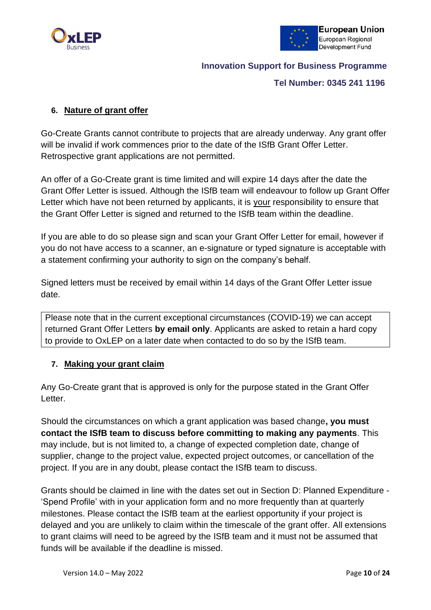



#### **Tel Number: 0345 241 1196**

# **6. Nature of grant offer**

Go-Create Grants cannot contribute to projects that are already underway. Any grant offer will be invalid if work commences prior to the date of the ISfB Grant Offer Letter. Retrospective grant applications are not permitted.

An offer of a Go-Create grant is time limited and will expire 14 days after the date the Grant Offer Letter is issued. Although the ISfB team will endeavour to follow up Grant Offer Letter which have not been returned by applicants, it is your responsibility to ensure that the Grant Offer Letter is signed and returned to the ISfB team within the deadline.

If you are able to do so please sign and scan your Grant Offer Letter for email, however if you do not have access to a scanner, an e-signature or typed signature is acceptable with a statement confirming your authority to sign on the company's behalf.

Signed letters must be received by email within 14 days of the Grant Offer Letter issue date.

Please note that in the current exceptional circumstances (COVID-19) we can accept returned Grant Offer Letters **by email only**. Applicants are asked to retain a hard copy to provide to OxLEP on a later date when contacted to do so by the ISfB team.

#### **7. Making your grant claim**

Any Go-Create grant that is approved is only for the purpose stated in the Grant Offer Letter.

Should the circumstances on which a grant application was based change**, you must contact the ISfB team to discuss before committing to making any payments**. This may include, but is not limited to, a change of expected completion date, change of supplier, change to the project value, expected project outcomes, or cancellation of the project. If you are in any doubt, please contact the ISfB team to discuss.

Grants should be claimed in line with the dates set out in Section D: Planned Expenditure - 'Spend Profile' with in your application form and no more frequently than at quarterly milestones. Please contact the ISfB team at the earliest opportunity if your project is delayed and you are unlikely to claim within the timescale of the grant offer. All extensions to grant claims will need to be agreed by the ISfB team and it must not be assumed that funds will be available if the deadline is missed.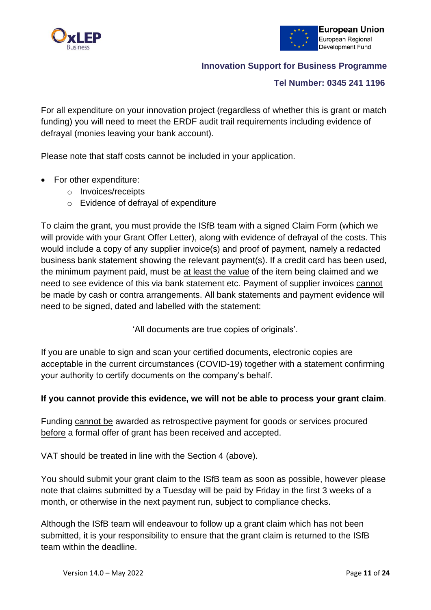



# **Tel Number: 0345 241 1196**

For all expenditure on your innovation project (regardless of whether this is grant or match funding) you will need to meet the ERDF audit trail requirements including evidence of defrayal (monies leaving your bank account).

Please note that staff costs cannot be included in your application.

- For other expenditure:
	- o Invoices/receipts
	- o Evidence of defrayal of expenditure

To claim the grant, you must provide the ISfB team with a signed Claim Form (which we will provide with your Grant Offer Letter), along with evidence of defrayal of the costs. This would include a copy of any supplier invoice(s) and proof of payment, namely a redacted business bank statement showing the relevant payment(s). If a credit card has been used, the minimum payment paid, must be at least the value of the item being claimed and we need to see evidence of this via bank statement etc. Payment of supplier invoices cannot be made by cash or contra arrangements. All bank statements and payment evidence will need to be signed, dated and labelled with the statement:

'All documents are true copies of originals'.

If you are unable to sign and scan your certified documents, electronic copies are acceptable in the current circumstances (COVID-19) together with a statement confirming your authority to certify documents on the company's behalf.

#### **If you cannot provide this evidence, we will not be able to process your grant claim**.

Funding cannot be awarded as retrospective payment for goods or services procured before a formal offer of grant has been received and accepted.

VAT should be treated in line with the Section 4 (above).

You should submit your grant claim to the ISfB team as soon as possible, however please note that claims submitted by a Tuesday will be paid by Friday in the first 3 weeks of a month, or otherwise in the next payment run, subject to compliance checks.

Although the ISfB team will endeavour to follow up a grant claim which has not been submitted, it is your responsibility to ensure that the grant claim is returned to the ISfB team within the deadline.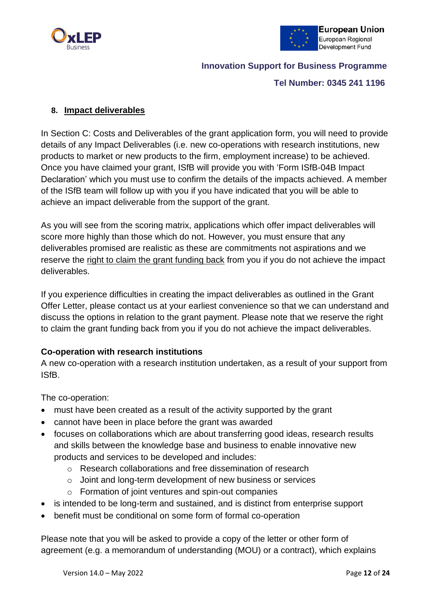



#### **Tel Number: 0345 241 1196**

#### **8. Impact deliverables**

In Section C: Costs and Deliverables of the grant application form, you will need to provide details of any Impact Deliverables (i.e. new co-operations with research institutions, new products to market or new products to the firm, employment increase) to be achieved. Once you have claimed your grant, ISfB will provide you with 'Form ISfB-04B Impact Declaration' which you must use to confirm the details of the impacts achieved. A member of the ISfB team will follow up with you if you have indicated that you will be able to achieve an impact deliverable from the support of the grant.

As you will see from the scoring matrix, applications which offer impact deliverables will score more highly than those which do not. However, you must ensure that any deliverables promised are realistic as these are commitments not aspirations and we reserve the right to claim the grant funding back from you if you do not achieve the impact deliverables.

If you experience difficulties in creating the impact deliverables as outlined in the Grant Offer Letter, please contact us at your earliest convenience so that we can understand and discuss the options in relation to the grant payment. Please note that we reserve the right to claim the grant funding back from you if you do not achieve the impact deliverables.

#### **Co-operation with research institutions**

A new co-operation with a research institution undertaken, as a result of your support from ISfB.

The co-operation:

- must have been created as a result of the activity supported by the grant
- cannot have been in place before the grant was awarded
- focuses on collaborations which are about transferring good ideas, research results and skills between the knowledge base and business to enable innovative new products and services to be developed and includes:
	- o Research collaborations and free dissemination of research
	- o Joint and long-term development of new business or services
	- o Formation of joint ventures and spin-out companies
- is intended to be long-term and sustained, and is distinct from enterprise support
- benefit must be conditional on some form of formal co-operation

Please note that you will be asked to provide a copy of the letter or other form of agreement (e.g. a memorandum of understanding (MOU) or a contract), which explains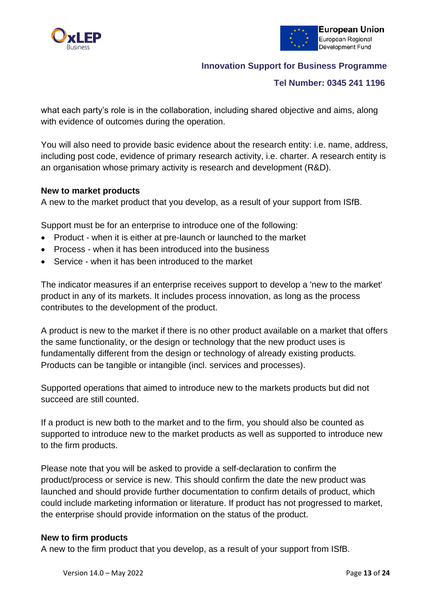



#### **Tel Number: 0345 241 1196**

what each party's role is in the collaboration, including shared objective and aims, along with evidence of outcomes during the operation.

You will also need to provide basic evidence about the research entity: i.e. name, address, including post code, evidence of primary research activity, i.e. charter. A research entity is an organisation whose primary activity is research and development (R&D).

#### **New to market products**

A new to the market product that you develop, as a result of your support from ISfB.

Support must be for an enterprise to introduce one of the following:

- Product when it is either at pre-launch or launched to the market
- Process when it has been introduced into the business
- Service when it has been introduced to the market

The indicator measures if an enterprise receives support to develop a 'new to the market' product in any of its markets. It includes process innovation, as long as the process contributes to the development of the product.

A product is new to the market if there is no other product available on a market that offers the same functionality, or the design or technology that the new product uses is fundamentally different from the design or technology of already existing products. Products can be tangible or intangible (incl. services and processes).

Supported operations that aimed to introduce new to the markets products but did not succeed are still counted.

If a product is new both to the market and to the firm, you should also be counted as supported to introduce new to the market products as well as supported to introduce new to the firm products.

Please note that you will be asked to provide a self-declaration to confirm the product/process or service is new. This should confirm the date the new product was launched and should provide further documentation to confirm details of product, which could include marketing information or literature. If product has not progressed to market, the enterprise should provide information on the status of the product.

#### **New to firm products**

A new to the firm product that you develop, as a result of your support from ISfB.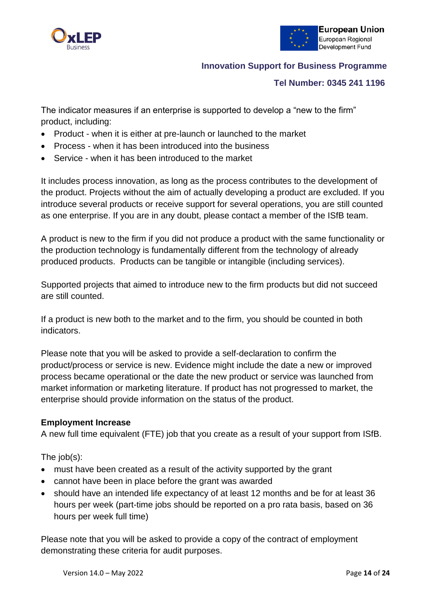



#### **Tel Number: 0345 241 1196**

The indicator measures if an enterprise is supported to develop a "new to the firm" product, including:

- Product when it is either at pre-launch or launched to the market
- Process when it has been introduced into the business
- Service when it has been introduced to the market

It includes process innovation, as long as the process contributes to the development of the product. Projects without the aim of actually developing a product are excluded. If you introduce several products or receive support for several operations, you are still counted as one enterprise. If you are in any doubt, please contact a member of the ISfB team.

A product is new to the firm if you did not produce a product with the same functionality or the production technology is fundamentally different from the technology of already produced products. Products can be tangible or intangible (including services).

Supported projects that aimed to introduce new to the firm products but did not succeed are still counted.

If a product is new both to the market and to the firm, you should be counted in both indicators.

Please note that you will be asked to provide a self-declaration to confirm the product/process or service is new. Evidence might include the date a new or improved process became operational or the date the new product or service was launched from market information or marketing literature. If product has not progressed to market, the enterprise should provide information on the status of the product.

#### **Employment Increase**

A new full time equivalent (FTE) job that you create as a result of your support from ISfB.

The job(s):

- must have been created as a result of the activity supported by the grant
- cannot have been in place before the grant was awarded
- should have an intended life expectancy of at least 12 months and be for at least 36 hours per week (part-time jobs should be reported on a pro rata basis, based on 36 hours per week full time)

Please note that you will be asked to provide a copy of the contract of employment demonstrating these criteria for audit purposes.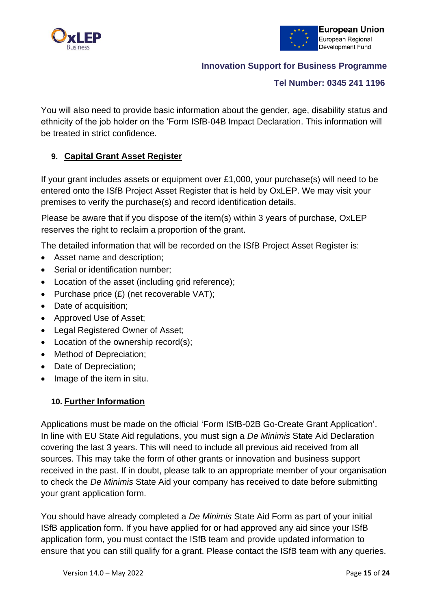



#### **Tel Number: 0345 241 1196**

You will also need to provide basic information about the gender, age, disability status and ethnicity of the job holder on the 'Form ISfB-04B Impact Declaration. This information will be treated in strict confidence.

# **9. Capital Grant Asset Register**

If your grant includes assets or equipment over £1,000, your purchase(s) will need to be entered onto the ISfB Project Asset Register that is held by OxLEP. We may visit your premises to verify the purchase(s) and record identification details.

Please be aware that if you dispose of the item(s) within 3 years of purchase, OxLEP reserves the right to reclaim a proportion of the grant.

The detailed information that will be recorded on the ISfB Project Asset Register is:

- Asset name and description;
- Serial or identification number;
- Location of the asset (including grid reference):
- Purchase price  $(E)$  (net recoverable VAT);
- Date of acquisition;
- Approved Use of Asset;
- Legal Registered Owner of Asset:
- Location of the ownership record(s);
- Method of Depreciation;
- Date of Depreciation;
- Image of the item in situ.

#### **10. Further Information**

Applications must be made on the official 'Form ISfB-02B Go-Create Grant Application'. In line with EU State Aid regulations, you must sign a *De Minimis* State Aid Declaration covering the last 3 years. This will need to include all previous aid received from all sources. This may take the form of other grants or innovation and business support received in the past. If in doubt, please talk to an appropriate member of your organisation to check the *De Minimis* State Aid your company has received to date before submitting your grant application form.

You should have already completed a *De Minimis* State Aid Form as part of your initial ISfB application form. If you have applied for or had approved any aid since your ISfB application form, you must contact the ISfB team and provide updated information to ensure that you can still qualify for a grant. Please contact the ISfB team with any queries.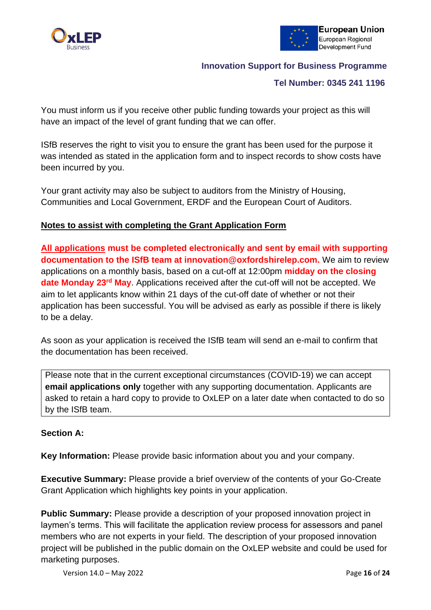



#### **Tel Number: 0345 241 1196**

You must inform us if you receive other public funding towards your project as this will have an impact of the level of grant funding that we can offer.

ISfB reserves the right to visit you to ensure the grant has been used for the purpose it was intended as stated in the application form and to inspect records to show costs have been incurred by you.

Your grant activity may also be subject to auditors from the Ministry of Housing, Communities and Local Government, ERDF and the European Court of Auditors.

# **Notes to assist with completing the Grant Application Form**

**All applications must be completed electronically and sent by email with supporting documentation to the ISfB team at [innovation@oxfordshirelep.com.](mailto:innovation@oxfordshirelep.com)** We aim to review applications on a monthly basis, based on a cut-off at 12:00pm **midday on the closing date Monday 23rd May**. Applications received after the cut-off will not be accepted. We aim to let applicants know within 21 days of the cut-off date of whether or not their application has been successful. You will be advised as early as possible if there is likely to be a delay.

As soon as your application is received the ISfB team will send an e-mail to confirm that the documentation has been received.

Please note that in the current exceptional circumstances (COVID-19) we can accept **email applications only** together with any supporting documentation. Applicants are asked to retain a hard copy to provide to OxLEP on a later date when contacted to do so by the ISfB team.

#### **Section A:**

**Key Information:** Please provide basic information about you and your company.

**Executive Summary:** Please provide a brief overview of the contents of your Go-Create Grant Application which highlights key points in your application.

**Public Summary:** Please provide a description of your proposed innovation project in laymen's terms. This will facilitate the application review process for assessors and panel members who are not experts in your field. The description of your proposed innovation project will be published in the public domain on the OxLEP website and could be used for marketing purposes.

Version 14.0 – May 2022 Page **16** of **24**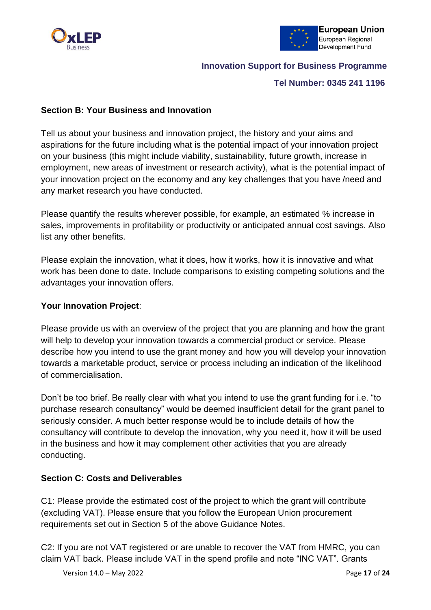



#### **Tel Number: 0345 241 1196**

#### **Section B: Your Business and Innovation**

Tell us about your business and innovation project, the history and your aims and aspirations for the future including what is the potential impact of your innovation project on your business (this might include viability, sustainability, future growth, increase in employment, new areas of investment or research activity), what is the potential impact of your innovation project on the economy and any key challenges that you have /need and any market research you have conducted.

Please quantify the results wherever possible, for example, an estimated % increase in sales, improvements in profitability or productivity or anticipated annual cost savings. Also list any other benefits.

Please explain the innovation, what it does, how it works, how it is innovative and what work has been done to date. Include comparisons to existing competing solutions and the advantages your innovation offers.

#### **Your Innovation Project**:

Please provide us with an overview of the project that you are planning and how the grant will help to develop your innovation towards a commercial product or service. Please describe how you intend to use the grant money and how you will develop your innovation towards a marketable product, service or process including an indication of the likelihood of commercialisation.

Don't be too brief. Be really clear with what you intend to use the grant funding for i.e. "to purchase research consultancy" would be deemed insufficient detail for the grant panel to seriously consider. A much better response would be to include details of how the consultancy will contribute to develop the innovation, why you need it, how it will be used in the business and how it may complement other activities that you are already conducting.

#### **Section C: Costs and Deliverables**

C1: Please provide the estimated cost of the project to which the grant will contribute (excluding VAT). Please ensure that you follow the European Union procurement requirements set out in Section 5 of the above Guidance Notes.

C2: If you are not VAT registered or are unable to recover the VAT from HMRC, you can claim VAT back. Please include VAT in the spend profile and note "INC VAT". Grants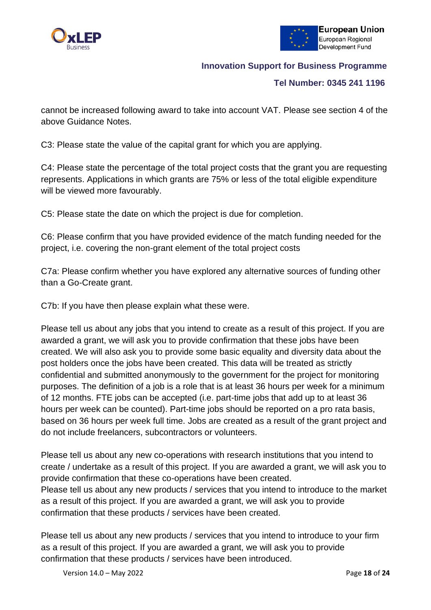



#### **Tel Number: 0345 241 1196**

cannot be increased following award to take into account VAT. Please see section 4 of the above Guidance Notes.

C3: Please state the value of the capital grant for which you are applying.

C4: Please state the percentage of the total project costs that the grant you are requesting represents. Applications in which grants are 75% or less of the total eligible expenditure will be viewed more favourably.

C5: Please state the date on which the project is due for completion.

C6: Please confirm that you have provided evidence of the match funding needed for the project, i.e. covering the non-grant element of the total project costs

C7a: Please confirm whether you have explored any alternative sources of funding other than a Go-Create grant.

C7b: If you have then please explain what these were.

Please tell us about any jobs that you intend to create as a result of this project. If you are awarded a grant, we will ask you to provide confirmation that these jobs have been created. We will also ask you to provide some basic equality and diversity data about the post holders once the jobs have been created. This data will be treated as strictly confidential and submitted anonymously to the government for the project for monitoring purposes. The definition of a job is a role that is at least 36 hours per week for a minimum of 12 months. FTE jobs can be accepted (i.e. part-time jobs that add up to at least 36 hours per week can be counted). Part-time jobs should be reported on a pro rata basis, based on 36 hours per week full time. Jobs are created as a result of the grant project and do not include freelancers, subcontractors or volunteers.

Please tell us about any new co-operations with research institutions that you intend to create / undertake as a result of this project. If you are awarded a grant, we will ask you to provide confirmation that these co-operations have been created. Please tell us about any new products / services that you intend to introduce to the market as a result of this project. If you are awarded a grant, we will ask you to provide confirmation that these products / services have been created.

Please tell us about any new products / services that you intend to introduce to your firm as a result of this project. If you are awarded a grant, we will ask you to provide confirmation that these products / services have been introduced.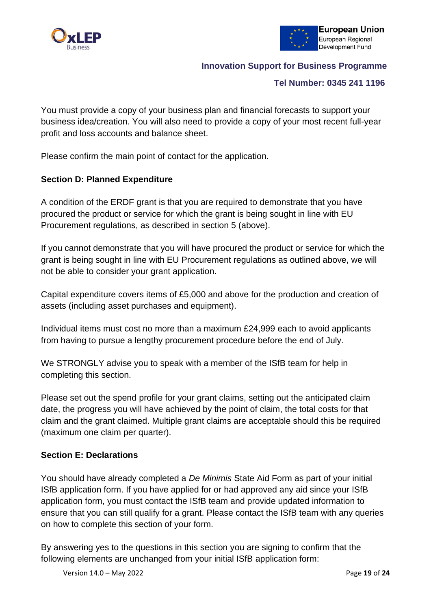



#### **Tel Number: 0345 241 1196**

You must provide a copy of your business plan and financial forecasts to support your business idea/creation. You will also need to provide a copy of your most recent full-year profit and loss accounts and balance sheet.

Please confirm the main point of contact for the application.

# **Section D: Planned Expenditure**

A condition of the ERDF grant is that you are required to demonstrate that you have procured the product or service for which the grant is being sought in line with EU Procurement regulations, as described in section 5 (above).

If you cannot demonstrate that you will have procured the product or service for which the grant is being sought in line with EU Procurement regulations as outlined above, we will not be able to consider your grant application.

Capital expenditure covers items of £5,000 and above for the production and creation of assets (including asset purchases and equipment).

Individual items must cost no more than a maximum £24,999 each to avoid applicants from having to pursue a lengthy procurement procedure before the end of July.

We STRONGLY advise you to speak with a member of the ISfB team for help in completing this section.

Please set out the spend profile for your grant claims, setting out the anticipated claim date, the progress you will have achieved by the point of claim, the total costs for that claim and the grant claimed. Multiple grant claims are acceptable should this be required (maximum one claim per quarter).

#### **Section E: Declarations**

You should have already completed a *De Minimis* State Aid Form as part of your initial ISfB application form. If you have applied for or had approved any aid since your ISfB application form, you must contact the ISfB team and provide updated information to ensure that you can still qualify for a grant. Please contact the ISfB team with any queries on how to complete this section of your form.

By answering yes to the questions in this section you are signing to confirm that the following elements are unchanged from your initial ISfB application form: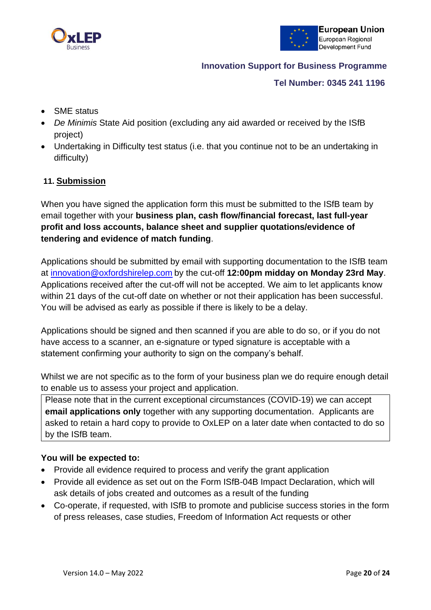



#### **Tel Number: 0345 241 1196**

- SME status
- *De Minimis* State Aid position (excluding any aid awarded or received by the ISfB project)
- Undertaking in Difficulty test status (i.e. that you continue not to be an undertaking in difficulty)

# **11. Submission**

When you have signed the application form this must be submitted to the ISfB team by email together with your **business plan, cash flow/financial forecast, last full-year profit and loss accounts, balance sheet and supplier quotations/evidence of tendering and evidence of match funding**.

Applications should be submitted by email with supporting documentation to the ISfB team at [innovation@oxfordshirelep.com](mailto:innovation@oxfordshirelep.com) by the cut-off **12:00pm midday on Monday 23rd May**. Applications received after the cut-off will not be accepted. We aim to let applicants know within 21 days of the cut-off date on whether or not their application has been successful. You will be advised as early as possible if there is likely to be a delay.

Applications should be signed and then scanned if you are able to do so, or if you do not have access to a scanner, an e-signature or typed signature is acceptable with a statement confirming your authority to sign on the company's behalf.

Whilst we are not specific as to the form of your business plan we do require enough detail to enable us to assess your project and application.

Please note that in the current exceptional circumstances (COVID-19) we can accept **email applications only** together with any supporting documentation. Applicants are asked to retain a hard copy to provide to OxLEP on a later date when contacted to do so by the ISfB team.

#### **You will be expected to:**

- Provide all evidence required to process and verify the grant application
- Provide all evidence as set out on the Form ISfB-04B Impact Declaration, which will ask details of jobs created and outcomes as a result of the funding
- Co-operate, if requested, with ISfB to promote and publicise success stories in the form of press releases, case studies, Freedom of Information Act requests or other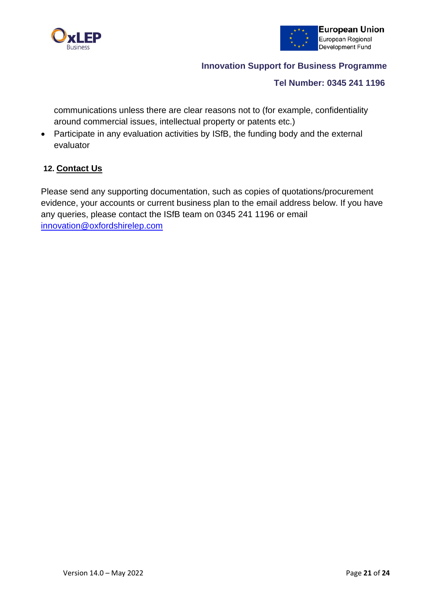



#### **Tel Number: 0345 241 1196**

communications unless there are clear reasons not to (for example, confidentiality around commercial issues, intellectual property or patents etc.)

• Participate in any evaluation activities by ISfB, the funding body and the external evaluator

# **12. Contact Us**

Please send any supporting documentation, such as copies of quotations/procurement evidence, your accounts or current business plan to the email address below. If you have any queries, please contact the ISfB team on 0345 241 1196 or email [innovation@oxfordshirelep.com](mailto:innovation@oxfordshirelep.com)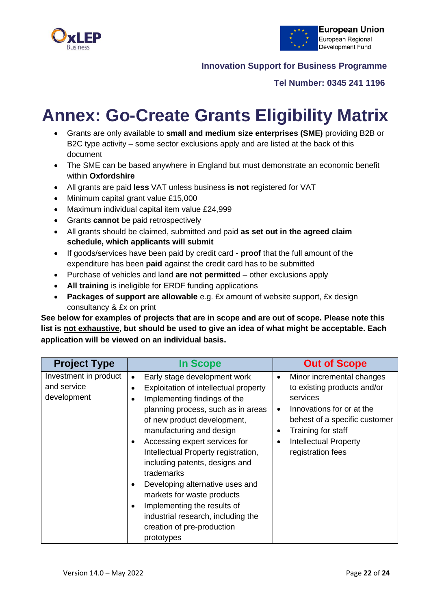



#### **Tel Number: 0345 241 1196**

# **Annex: Go-Create Grants Eligibility Matrix**

- Grants are only available to **small and medium size enterprises (SME)** providing B2B or B2C type activity – some sector exclusions apply and are listed at the back of this document
- The SME can be based anywhere in England but must demonstrate an economic benefit within **Oxfordshire**
- All grants are paid **less** VAT unless business **is not** registered for VAT
- Minimum capital grant value £15,000
- Maximum individual capital item value £24,999
- Grants **cannot** be paid retrospectively
- All grants should be claimed, submitted and paid **as set out in the agreed claim schedule, which applicants will submit**
- If goods/services have been paid by credit card **proof** that the full amount of the expenditure has been **paid** against the credit card has to be submitted
- Purchase of vehicles and land **are not permitted**  other exclusions apply
- **All training** is ineligible for ERDF funding applications
- **Packages of support are allowable** e.g. £x amount of website support, £x design consultancy & £x on print

**See below for examples of projects that are in scope and are out of scope. Please note this list is not exhaustive, but should be used to give an idea of what might be acceptable. Each application will be viewed on an individual basis.** 

| <b>Project Type</b>                                 | <b>In Scope</b>                                                                                                                                                                                                                                                                                                                                                                                                                                                                                                                                         | <b>Out of Scope</b>                                                                                                                                                                                                                                               |
|-----------------------------------------------------|---------------------------------------------------------------------------------------------------------------------------------------------------------------------------------------------------------------------------------------------------------------------------------------------------------------------------------------------------------------------------------------------------------------------------------------------------------------------------------------------------------------------------------------------------------|-------------------------------------------------------------------------------------------------------------------------------------------------------------------------------------------------------------------------------------------------------------------|
| Investment in product<br>and service<br>development | Early stage development work<br>$\bullet$<br>Exploitation of intellectual property<br>Implementing findings of the<br>planning process, such as in areas<br>of new product development,<br>manufacturing and design<br>Accessing expert services for<br>$\bullet$<br>Intellectual Property registration,<br>including patents, designs and<br>trademarks<br>Developing alternative uses and<br>markets for waste products<br>Implementing the results of<br>$\bullet$<br>industrial research, including the<br>creation of pre-production<br>prototypes | Minor incremental changes<br>$\bullet$<br>to existing products and/or<br>services<br>Innovations for or at the<br>$\bullet$<br>behest of a specific customer<br>Training for staff<br>$\bullet$<br><b>Intellectual Property</b><br>$\bullet$<br>registration fees |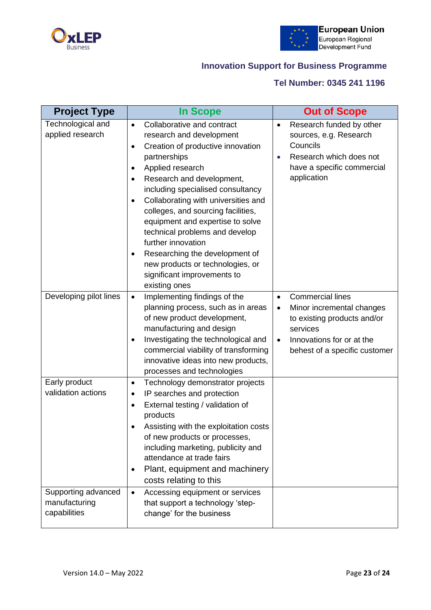



# **Tel Number: 0345 241 1196**

| <b>Project Type</b>                                  | <b>In Scope</b>                                                                                                                                                                                                                                                                                                                                                                                                                                                                                                                           | <b>Out of Scope</b>                                                                                                                                                                                  |
|------------------------------------------------------|-------------------------------------------------------------------------------------------------------------------------------------------------------------------------------------------------------------------------------------------------------------------------------------------------------------------------------------------------------------------------------------------------------------------------------------------------------------------------------------------------------------------------------------------|------------------------------------------------------------------------------------------------------------------------------------------------------------------------------------------------------|
| Technological and<br>applied research                | Collaborative and contract<br>$\bullet$<br>research and development<br>Creation of productive innovation<br>$\bullet$<br>partnerships<br>Applied research<br>٠<br>Research and development,<br>٠<br>including specialised consultancy<br>Collaborating with universities and<br>٠<br>colleges, and sourcing facilities,<br>equipment and expertise to solve<br>technical problems and develop<br>further innovation<br>Researching the development of<br>new products or technologies, or<br>significant improvements to<br>existing ones | Research funded by other<br>$\bullet$<br>sources, e.g. Research<br>Councils<br>Research which does not<br>$\bullet$<br>have a specific commercial<br>application                                     |
| Developing pilot lines                               | Implementing findings of the<br>$\bullet$<br>planning process, such as in areas<br>of new product development,<br>manufacturing and design<br>Investigating the technological and<br>٠<br>commercial viability of transforming<br>innovative ideas into new products,<br>processes and technologies                                                                                                                                                                                                                                       | <b>Commercial lines</b><br>$\bullet$<br>Minor incremental changes<br>$\bullet$<br>to existing products and/or<br>services<br>Innovations for or at the<br>$\bullet$<br>behest of a specific customer |
| Early product<br>validation actions                  | Technology demonstrator projects<br>$\bullet$<br>IP searches and protection<br>$\bullet$<br>External testing / validation of<br>٠<br>products<br>Assisting with the exploitation costs<br>of new products or processes,<br>including marketing, publicity and<br>attendance at trade fairs<br>Plant, equipment and machinery<br>$\bullet$<br>costs relating to this                                                                                                                                                                       |                                                                                                                                                                                                      |
| Supporting advanced<br>manufacturing<br>capabilities | Accessing equipment or services<br>$\bullet$<br>that support a technology 'step-<br>change' for the business                                                                                                                                                                                                                                                                                                                                                                                                                              |                                                                                                                                                                                                      |